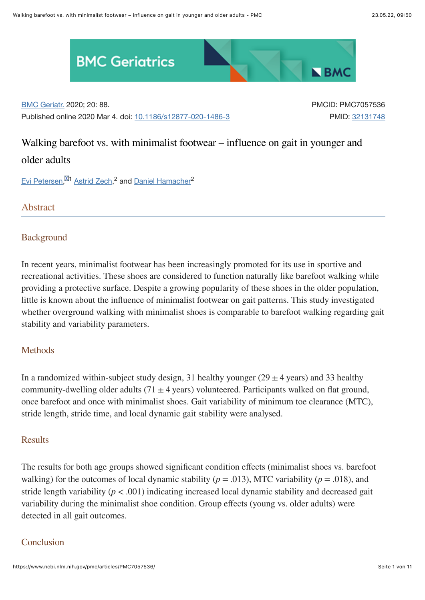

[BMC Geriatr.](https://www.ncbi.nlm.nih.gov/pmc/articles/PMC7057536/#) 2020; 20: 88.

Published online 2020 Mar 4. doi: [10.1186/s12877-020-1486-3](https://doi.org/10.1186%2Fs12877-020-1486-3)

PMCID: PMC7057536 PMID: [32131748](https://pubmed.ncbi.nlm.nih.gov/32131748)

# Walking barefoot vs. with minimalist footwear – influence on gait in younger and older adults

[Evi Petersen,](https://pubmed.ncbi.nlm.nih.gov/?term=Petersen%20E%5BAuthor%5D)<sup>M1</sup> [Astrid Zech](https://pubmed.ncbi.nlm.nih.gov/?term=Zech%20A%5BAuthor%5D),<sup>2</sup> and [Daniel Hamacher](https://pubmed.ncbi.nlm.nih.gov/?term=Hamacher%20D%5BAuthor%5D)<sup>2</sup>

Abstract

#### **Background**

In recent years, minimalist footwear has been increasingly promoted for its use in sportive and recreational activities. These shoes are considered to function naturally like barefoot walking while providing a protective surface. Despite a growing popularity of these shoes in the older population, little is known about the influence of minimalist footwear on gait patterns. This study investigated whether overground walking with minimalist shoes is comparable to barefoot walking regarding gait stability and variability parameters.

# **Methods**

In a randomized within-subject study design, 31 healthy younger (29  $\pm$  4 years) and 33 healthy community-dwelling older adults (71  $\pm$  4 years) volunteered. Participants walked on flat ground, once barefoot and once with minimalist shoes. Gait variability of minimum toe clearance (MTC), stride length, stride time, and local dynamic gait stability were analysed.

#### **Results**

The results for both age groups showed significant condition effects (minimalist shoes vs. barefoot walking) for the outcomes of local dynamic stability ( $p = .013$ ), MTC variability ( $p = .018$ ), and stride length variability  $(p < .001)$  indicating increased local dynamic stability and decreased gait variability during the minimalist shoe condition. Group effects (young vs. older adults) were detected in all gait outcomes.

#### Conclusion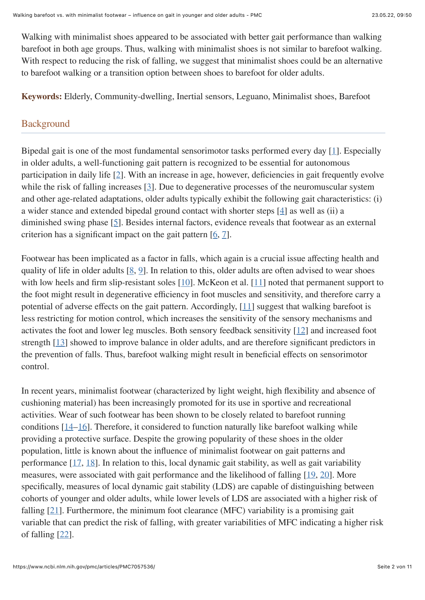Walking with minimalist shoes appeared to be associated with better gait performance than walking barefoot in both age groups. Thus, walking with minimalist shoes is not similar to barefoot walking. With respect to reducing the risk of falling, we suggest that minimalist shoes could be an alternative to barefoot walking or a transition option between shoes to barefoot for older adults.

**Keywords:** Elderly, Community-dwelling, Inertial sensors, Leguano, Minimalist shoes, Barefoot

# **Background**

Bipedal gait is one of the most fundamental sensorimotor tasks performed every day [[1](#page-8-0)]. Especially in older adults, a well-functioning gait pattern is recognized to be essential for autonomous participation in daily life [[2\]](#page-8-1). With an increase in age, however, deficiencies in gait frequently evolve while the risk of falling increases  $[3]$  $[3]$  $[3]$ . Due to degenerative processes of the neuromuscular system and other age-related adaptations, older adults typically exhibit the following gait characteristics: (i) a wider stance and extended bipedal ground contact with shorter steps [\[4](#page-8-3)] as well as (ii) a diminished swing phase [\[5](#page-8-4)]. Besides internal factors, evidence reveals that footwear as an external criterion has a significant impact on the gait pattern  $[6, 7]$  $[6, 7]$  $[6, 7]$ .

Footwear has been implicated as a factor in falls, which again is a crucial issue affecting health and quality of life in older adults  $[8, 9]$  $[8, 9]$  $[8, 9]$ . In relation to this, older adults are often advised to wear shoes with low heels and firm slip-resistant soles  $[10]$  $[10]$ . McKeon et al.  $[11]$  $[11]$  $[11]$  noted that permanent support to the foot might result in degenerative efficiency in foot muscles and sensitivity, and therefore carry a potential of adverse effects on the gait pattern. Accordingly, [[11](#page-8-10)] suggest that walking barefoot is less restricting for motion control, which increases the sensitivity of the sensory mechanisms and activates the foot and lower leg muscles. Both sensory feedback sensitivity  $[12]$  and increased foot strength [\[13\]](#page-9-1) showed to improve balance in older adults, and are therefore significant predictors in the prevention of falls. Thus, barefoot walking might result in beneficial effects on sensorimotor control.

In recent years, minimalist footwear (characterized by light weight, high flexibility and absence of cushioning material) has been increasingly promoted for its use in sportive and recreational activities. Wear of such footwear has been shown to be closely related to barefoot running conditions  $[14–16]$  $[14–16]$ . Therefore, it considered to function naturally like barefoot walking while providing a protective surface. Despite the growing popularity of these shoes in the older population, little is known about the influence of minimalist footwear on gait patterns and performance  $[17, 18]$  $[17, 18]$  $[17, 18]$  $[17, 18]$ . In relation to this, local dynamic gait stability, as well as gait variability measures, were associated with gait performance and the likelihood of falling [[19](#page-9-6), [20](#page-9-7)]. More specifically, measures of local dynamic gait stability (LDS) are capable of distinguishing between cohorts of younger and older adults, while lower levels of LDS are associated with a higher risk of falling  $[21]$ . Furthermore, the minimum foot clearance (MFC) variability is a promising gait variable that can predict the risk of falling, with greater variabilities of MFC indicating a higher risk of falling [[22](#page-9-9)].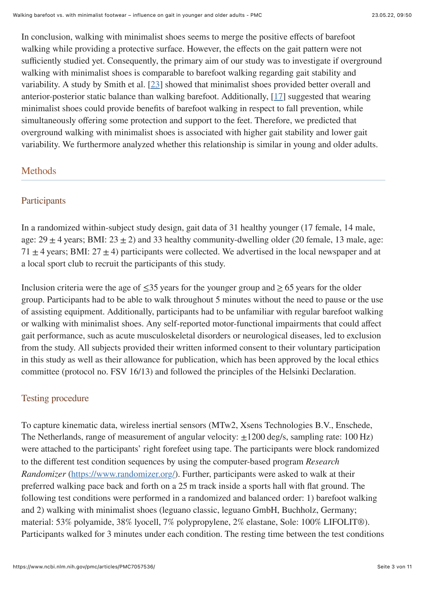In conclusion, walking with minimalist shoes seems to merge the positive effects of barefoot walking while providing a protective surface. However, the effects on the gait pattern were not sufficiently studied yet. Consequently, the primary aim of our study was to investigate if overground walking with minimalist shoes is comparable to barefoot walking regarding gait stability and variability. A study by Smith et al. [\[23\]](#page-9-10) showed that minimalist shoes provided better overall and anterior-posterior static balance than walking barefoot. Additionally, [[17](#page-9-4)] suggested that wearing minimalist shoes could provide benefits of barefoot walking in respect to fall prevention, while simultaneously offering some protection and support to the feet. Therefore, we predicted that overground walking with minimalist shoes is associated with higher gait stability and lower gait variability. We furthermore analyzed whether this relationship is similar in young and older adults.

# **Methods**

#### **Participants**

In a randomized within-subject study design, gait data of 31 healthy younger (17 female, 14 male, age:  $29 \pm 4$  years; BMI:  $23 \pm 2$ ) and 33 healthy community-dwelling older (20 female, 13 male, age: 71  $\pm$  4 years; BMI: 27  $\pm$  4) participants were collected. We advertised in the local newspaper and at a local sport club to recruit the participants of this study.

Inclusion criteria were the age of  $\leq 35$  years for the younger group and  $\geq 65$  years for the older group. Participants had to be able to walk throughout 5 minutes without the need to pause or the use of assisting equipment. Additionally, participants had to be unfamiliar with regular barefoot walking or walking with minimalist shoes. Any self-reported motor-functional impairments that could affect gait performance, such as acute musculoskeletal disorders or neurological diseases, led to exclusion from the study. All subjects provided their written informed consent to their voluntary participation in this study as well as their allowance for publication, which has been approved by the local ethics committee (protocol no. FSV 16/13) and followed the principles of the Helsinki Declaration.

# Testing procedure

To capture kinematic data, wireless inertial sensors (MTw2, Xsens Technologies B.V., Enschede, The Netherlands, range of measurement of angular velocity:  $\pm 1200$  deg/s, sampling rate: 100 Hz) were attached to the participants' right forefeet using tape. The participants were block randomized to the different test condition sequences by using the computer-based program *Research Randomizer* (<https://www.randomizer.org/>). Further, participants were asked to walk at their preferred walking pace back and forth on a 25 m track inside a sports hall with flat ground. The following test conditions were performed in a randomized and balanced order: 1) barefoot walking and 2) walking with minimalist shoes (leguano classic, leguano GmbH, Buchholz, Germany; material: 53% polyamide, 38% lyocell, 7% polypropylene, 2% elastane, Sole: 100% LIFOLIT®). Participants walked for 3 minutes under each condition. The resting time between the test conditions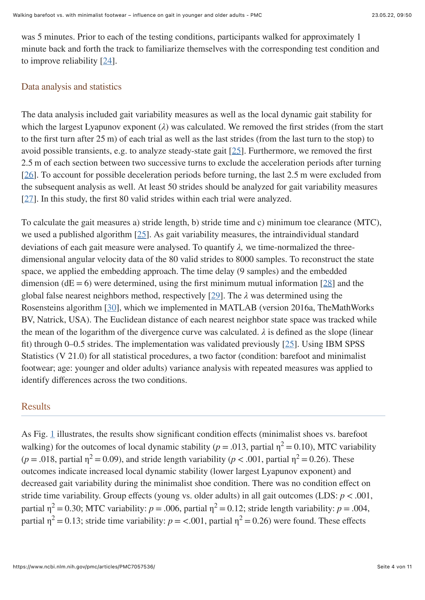was 5 minutes. Prior to each of the testing conditions, participants walked for approximately 1 minute back and forth the track to familiarize themselves with the corresponding test condition and to improve reliability [\[24\]](#page-10-0).

#### Data analysis and statistics

The data analysis included gait variability measures as well as the local dynamic gait stability for which the largest Lyapunov exponent (*λ*) was calculated. We removed the first strides (from the start to the first turn after 25 m) of each trial as well as the last strides (from the last turn to the stop) to avoid possible transients, e.g. to analyze steady-state gait [[25\]](#page-10-1). Furthermore, we removed the first 2.5 m of each section between two successive turns to exclude the acceleration periods after turning [\[26\]](#page-10-2). To account for possible deceleration periods before turning, the last 2.5 m were excluded from the subsequent analysis as well. At least 50 strides should be analyzed for gait variability measures [\[27\]](#page-10-3). In this study, the first 80 valid strides within each trial were analyzed.

To calculate the gait measures a) stride length, b) stride time and c) minimum toe clearance (MTC), we used a published algorithm  $[25]$ . As gait variability measures, the intraindividual standard deviations of each gait measure were analysed. To quantify *λ,* we time-normalized the threedimensional angular velocity data of the 80 valid strides to 8000 samples. To reconstruct the state space, we applied the embedding approach. The time delay (9 samples) and the embedded dimension ( $dE = 6$ ) were determined, using the first minimum mutual information [[28](#page-10-4)] and the global false nearest neighbors method, respectively [[29\]](#page-10-5). The *λ* was determined using the Rosensteins algorithm [\[30\]](#page-10-6), which we implemented in MATLAB (version 2016a, TheMathWorks BV, Natrick, USA). The Euclidean distance of each nearest neighbor state space was tracked while the mean of the logarithm of the divergence curve was calculated.  $\lambda$  is defined as the slope (linear fit) through 0–0.5 strides. The implementation was validated previously  $[25]$  $[25]$  $[25]$ . Using IBM SPSS Statistics (V 21.0) for all statistical procedures, a two factor (condition: barefoot and minimalist footwear; age: younger and older adults) variance analysis with repeated measures was applied to identify differences across the two conditions.

#### Results

As Fig. [1](https://www.ncbi.nlm.nih.gov/pmc/articles/PMC7057536/figure/Fig1/) illustrates, the results show significant condition effects (minimalist shoes vs. barefoot walking) for the outcomes of local dynamic stability ( $p = .013$ , partial  $\eta^2 = 0.10$ ), MTC variability  $(p = .018$ , partial  $\eta^2 = 0.09$ ), and stride length variability  $(p < .001$ , partial  $\eta^2 = 0.26$ ). These outcomes indicate increased local dynamic stability (lower largest Lyapunov exponent) and decreased gait variability during the minimalist shoe condition. There was no condition effect on stride time variability. Group effects (young vs. older adults) in all gait outcomes (LDS:  $p < .001$ , partial  $\eta^2 = 0.30$ ; MTC variability:  $p = .006$ , partial  $\eta^2 = 0.12$ ; stride length variability:  $p = .004$ , partial  $\eta^2 = 0.13$ ; stride time variability:  $p = < .001$ , partial  $\eta^2 = 0.26$ ) were found. These effects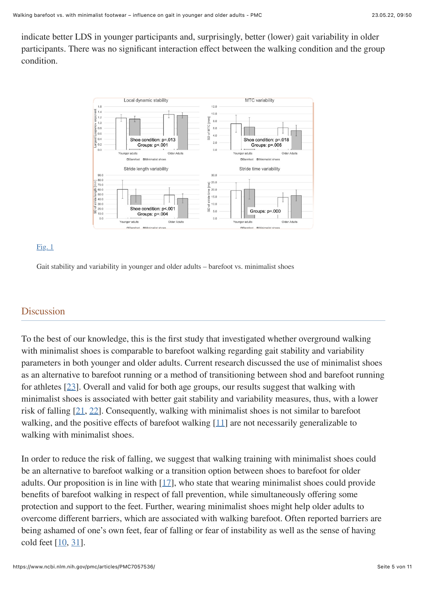indicate better LDS in younger participants and, surprisingly, better (lower) gait variability in older participants. There was no significant interaction effect between the walking condition and the group condition.



#### $Fig. 1$

Gait stability and variability in younger and older adults – barefoot vs. minimalist shoes

# **Discussion**

To the best of our knowledge, this is the first study that investigated whether overground walking with minimalist shoes is comparable to barefoot walking regarding gait stability and variability parameters in both younger and older adults. Current research discussed the use of minimalist shoes as an alternative to barefoot running or a method of transitioning between shod and barefoot running for athletes [[23](#page-9-10)]. Overall and valid for both age groups, our results suggest that walking with minimalist shoes is associated with better gait stability and variability measures, thus, with a lower risk of falling [\[21,](#page-9-8) [22\]](#page-9-9). Consequently, walking with minimalist shoes is not similar to barefoot walking, and the positive effects of barefoot walking  $[11]$  $[11]$  are not necessarily generalizable to walking with minimalist shoes.

In order to reduce the risk of falling, we suggest that walking training with minimalist shoes could be an alternative to barefoot walking or a transition option between shoes to barefoot for older adults. Our proposition is in line with  $[17]$ , who state that wearing minimalist shoes could provide benefits of barefoot walking in respect of fall prevention, while simultaneously offering some protection and support to the feet. Further, wearing minimalist shoes might help older adults to overcome different barriers, which are associated with walking barefoot. Often reported barriers are being ashamed of one's own feet, fear of falling or fear of instability as well as the sense of having cold feet  $[10, 31]$  $[10, 31]$  $[10, 31]$  $[10, 31]$  $[10, 31]$ .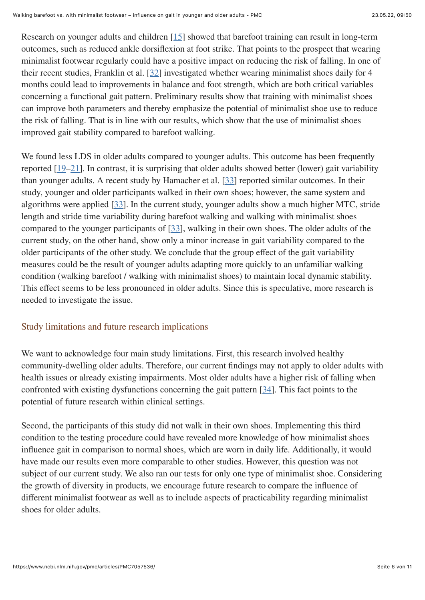Research on younger adults and children [[15](#page-9-11)] showed that barefoot training can result in long-term outcomes, such as reduced ankle dorsiflexion at foot strike. That points to the prospect that wearing minimalist footwear regularly could have a positive impact on reducing the risk of falling. In one of their recent studies, Franklin et al. [[32\]](#page-10-8) investigated whether wearing minimalist shoes daily for 4 months could lead to improvements in balance and foot strength, which are both critical variables concerning a functional gait pattern. Preliminary results show that training with minimalist shoes can improve both parameters and thereby emphasize the potential of minimalist shoe use to reduce the risk of falling. That is in line with our results, which show that the use of minimalist shoes improved gait stability compared to barefoot walking.

We found less LDS in older adults compared to younger adults. This outcome has been frequently reported [[19](#page-9-6)–[21\]](#page-9-8). In contrast, it is surprising that older adults showed better (lower) gait variability than younger adults. A recent study by Hamacher et al. [\[33\]](#page-10-9) reported similar outcomes. In their study, younger and older participants walked in their own shoes; however, the same system and algorithms were applied [[33\]](#page-10-9). In the current study, younger adults show a much higher MTC, stride length and stride time variability during barefoot walking and walking with minimalist shoes compared to the younger participants of [\[33](#page-10-9)], walking in their own shoes. The older adults of the current study, on the other hand, show only a minor increase in gait variability compared to the older participants of the other study. We conclude that the group effect of the gait variability measures could be the result of younger adults adapting more quickly to an unfamiliar walking condition (walking barefoot / walking with minimalist shoes) to maintain local dynamic stability. This effect seems to be less pronounced in older adults. Since this is speculative, more research is needed to investigate the issue.

#### Study limitations and future research implications

We want to acknowledge four main study limitations. First, this research involved healthy community-dwelling older adults. Therefore, our current findings may not apply to older adults with health issues or already existing impairments. Most older adults have a higher risk of falling when confronted with existing dysfunctions concerning the gait pattern [[34](#page-10-10)]. This fact points to the potential of future research within clinical settings.

Second, the participants of this study did not walk in their own shoes. Implementing this third condition to the testing procedure could have revealed more knowledge of how minimalist shoes influence gait in comparison to normal shoes, which are worn in daily life. Additionally, it would have made our results even more comparable to other studies. However, this question was not subject of our current study. We also ran our tests for only one type of minimalist shoe. Considering the growth of diversity in products, we encourage future research to compare the influence of different minimalist footwear as well as to include aspects of practicability regarding minimalist shoes for older adults.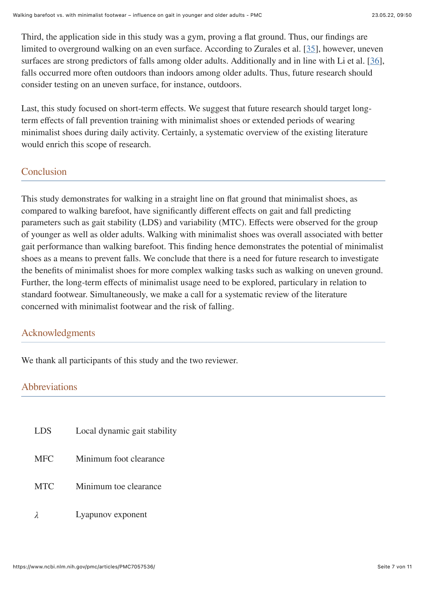Third, the application side in this study was a gym, proving a flat ground. Thus, our findings are limited to overground walking on an even surface. According to Zurales et al. [\[35\]](#page-10-11), however, uneven surfaces are strong predictors of falls among older adults. Additionally and in line with Li et al. [[36](#page-10-12)], falls occurred more often outdoors than indoors among older adults. Thus, future research should consider testing on an uneven surface, for instance, outdoors.

Last, this study focused on short-term effects. We suggest that future research should target longterm effects of fall prevention training with minimalist shoes or extended periods of wearing minimalist shoes during daily activity. Certainly, a systematic overview of the existing literature would enrich this scope of research.

# Conclusion

This study demonstrates for walking in a straight line on flat ground that minimalist shoes, as compared to walking barefoot, have significantly different effects on gait and fall predicting parameters such as gait stability (LDS) and variability (MTC). Effects were observed for the group of younger as well as older adults. Walking with minimalist shoes was overall associated with better gait performance than walking barefoot. This finding hence demonstrates the potential of minimalist shoes as a means to prevent falls. We conclude that there is a need for future research to investigate the benefits of minimalist shoes for more complex walking tasks such as walking on uneven ground. Further, the long-term effects of minimalist usage need to be explored, particulary in relation to standard footwear. Simultaneously, we make a call for a systematic review of the literature concerned with minimalist footwear and the risk of falling.

# Acknowledgments

We thank all participants of this study and the two reviewer.

# Abbreviations

- LDS Local dynamic gait stability MFC Minimum foot clearance MTC Minimum toe clearance
- *λ* Lyapunov exponent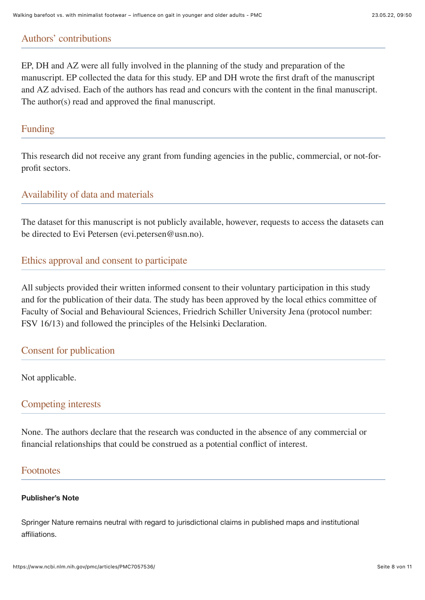# Authors' contributions

EP, DH and AZ were all fully involved in the planning of the study and preparation of the manuscript. EP collected the data for this study. EP and DH wrote the first draft of the manuscript and AZ advised. Each of the authors has read and concurs with the content in the final manuscript. The author(s) read and approved the final manuscript.

## Funding

This research did not receive any grant from funding agencies in the public, commercial, or not-forprofit sectors.

# Availability of data and materials

The dataset for this manuscript is not publicly available, however, requests to access the datasets can be directed to Evi Petersen (evi.petersen@usn.no).

# Ethics approval and consent to participate

All subjects provided their written informed consent to their voluntary participation in this study and for the publication of their data. The study has been approved by the local ethics committee of Faculty of Social and Behavioural Sciences, Friedrich Schiller University Jena (protocol number: FSV 16/13) and followed the principles of the Helsinki Declaration.

# Consent for publication

Not applicable.

# Competing interests

None. The authors declare that the research was conducted in the absence of any commercial or financial relationships that could be construed as a potential conflict of interest.

# Footnotes

#### **Publisher's Note**

Springer Nature remains neutral with regard to jurisdictional claims in published maps and institutional affiliations.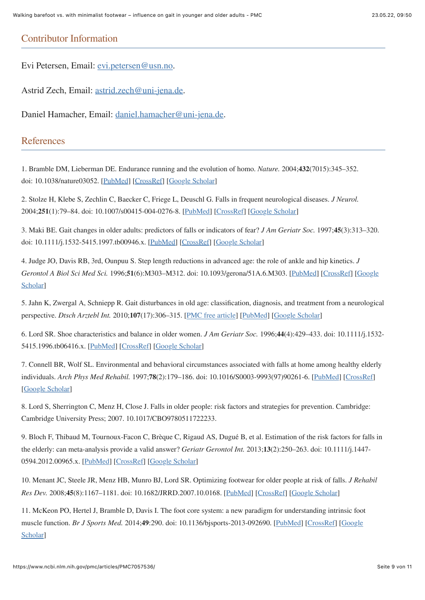#### Contributor Information

Evi Petersen, Email: [evi.petersen@usn.no](mailto:dev@null).

Astrid Zech, Email: [astrid.zech@uni-jena.de](mailto:dev@null).

Daniel Hamacher, Email: [daniel.hamacher@uni-jena.de](mailto:dev@null).

#### References

<span id="page-8-0"></span>1. Bramble DM, Lieberman DE. Endurance running and the evolution of homo. *Nature.* 2004;**432**(7015):345–352. doi: 10.1038/nature03052. [[PubMed\]](https://pubmed.ncbi.nlm.nih.gov/15549097) [\[CrossRef](https://doi.org/10.1038%2Fnature03052)] [[Google Scholar\]](https://scholar.google.com/scholar_lookup?journal=Nature&title=Endurance+running+and+the+evolution+of+homo&author=DM+Bramble&author=DE+Lieberman&volume=432&issue=7015&publication_year=2004&pages=345-352&pmid=15549097&doi=10.1038/nature03052&)

<span id="page-8-1"></span>2. Stolze H, Klebe S, Zechlin C, Baecker C, Friege L, Deuschl G. Falls in frequent neurological diseases. *J Neurol.* 2004;**251**(1):79–84. doi: 10.1007/s00415-004-0276-8. [[PubMed\]](https://pubmed.ncbi.nlm.nih.gov/14999493) [\[CrossRef](https://doi.org/10.1007%2Fs00415-004-0276-8)] [[Google Scholar\]](https://scholar.google.com/scholar_lookup?journal=J+Neurol&title=Falls+in+frequent+neurological+diseases&author=H+Stolze&author=S+Klebe&author=C+Zechlin&author=C+Baecker&author=L+Friege&volume=251&issue=1&publication_year=2004&pages=79-84&pmid=14999493&doi=10.1007/s00415-004-0276-8&)

<span id="page-8-2"></span>3. Maki BE. Gait changes in older adults: predictors of falls or indicators of fear? *J Am Geriatr Soc.* 1997;**45**(3):313–320. doi: 10.1111/j.1532-5415.1997.tb00946.x. [[PubMed\]](https://pubmed.ncbi.nlm.nih.gov/9063277) [\[CrossRef](https://doi.org/10.1111%2Fj.1532-5415.1997.tb00946.x)] [[Google Scholar\]](https://scholar.google.com/scholar_lookup?journal=J+Am+Geriatr+Soc&title=Gait+changes+in+older+adults:+predictors+of+falls+or+indicators+of+fear?&author=BE+Maki&volume=45&issue=3&publication_year=1997&pages=313-320&pmid=9063277&doi=10.1111/j.1532-5415.1997.tb00946.x&)

<span id="page-8-3"></span>4. Judge JO, Davis RB, 3rd, Ounpuu S. Step length reductions in advanced age: the role of ankle and hip kinetics. *J Gerontol A Biol Sci Med Sci.* 1996;**51**[\(6\):M303–M312. doi: 10.1093/gerona/51A.6.M303. \[P](https://scholar.google.com/scholar_lookup?journal=J+Gerontol+A+Biol+Sci+Med+Sci&title=Step+length+reductions+in+advanced+age:+the+role+of+ankle+and+hip+kinetics&author=JO+Judge&author=RB+Davis&author=S+Ounpuu&volume=51&issue=6&publication_year=1996&pages=M303-M312&pmid=8914503&doi=10.1093/gerona/51A.6.M303&)[ubMed](https://pubmed.ncbi.nlm.nih.gov/8914503)[\] \[C](https://scholar.google.com/scholar_lookup?journal=J+Gerontol+A+Biol+Sci+Med+Sci&title=Step+length+reductions+in+advanced+age:+the+role+of+ankle+and+hip+kinetics&author=JO+Judge&author=RB+Davis&author=S+Ounpuu&volume=51&issue=6&publication_year=1996&pages=M303-M312&pmid=8914503&doi=10.1093/gerona/51A.6.M303&)[rossRe](https://doi.org/10.1093%2Fgerona%2F51A.6.M303)[f\] \[Google](https://scholar.google.com/scholar_lookup?journal=J+Gerontol+A+Biol+Sci+Med+Sci&title=Step+length+reductions+in+advanced+age:+the+role+of+ankle+and+hip+kinetics&author=JO+Judge&author=RB+Davis&author=S+Ounpuu&volume=51&issue=6&publication_year=1996&pages=M303-M312&pmid=8914503&doi=10.1093/gerona/51A.6.M303&) Scholar]

<span id="page-8-4"></span>5. Jahn K, Zwergal A, Schniepp R. Gait disturbances in old age: classification, diagnosis, and treatment from a neurological perspective. *Dtsch Arztebl Int.* 2010;**107**(17):306–315. [\[PMC free article](https://www.ncbi.nlm.nih.gov/pmc/articles/PMC2872829/)] [[PubMed\]](https://pubmed.ncbi.nlm.nih.gov/20490346) [\[Google Scholar](https://scholar.google.com/scholar_lookup?journal=Dtsch+Arztebl+Int&title=Gait+disturbances+in+old+age:+classification,+diagnosis,+and+treatment+from+a+neurological+perspective&author=K+Jahn&author=A+Zwergal&author=R+Schniepp&volume=107&issue=17&publication_year=2010&pages=306-315&pmid=20490346&)]

<span id="page-8-5"></span>6. Lord SR. Shoe characteristics and balance in older women. *J Am Geriatr Soc.* 1996;**44**(4):429–433. doi: 10.1111/j.1532- 5415.1996.tb06416.x. [\[PubMed](https://pubmed.ncbi.nlm.nih.gov/8636591)] [[CrossRef\]](https://doi.org/10.1111%2Fj.1532-5415.1996.tb06416.x) [\[Google Scholar](https://scholar.google.com/scholar_lookup?journal=J+Am+Geriatr+Soc&title=Shoe+characteristics+and+balance+in+older+women&author=SR+Lord&volume=44&issue=4&publication_year=1996&pages=429-433&pmid=8636591&doi=10.1111/j.1532-5415.1996.tb06416.x&)]

<span id="page-8-6"></span>7. Connell BR, Wolf SL. Environmental and behavioral circumstances associated with falls at home among healthy elderly individuals. *Arch Phys Med Rehabil.* 1997;**78**(2):179–186. doi: 10.1016/S0003-9993(97)90261-6. [\[PubMed](https://pubmed.ncbi.nlm.nih.gov/9041900)] [\[CrossRef](https://doi.org/10.1016%2FS0003-9993(97)90261-6)] [\[Google Scholar\]](https://scholar.google.com/scholar_lookup?journal=Arch+Phys+Med+Rehabil&title=Environmental+and+behavioral+circumstances+associated+with+falls+at+home+among+healthy+elderly+individuals&author=BR+Connell&author=SL+Wolf&volume=78&issue=2&publication_year=1997&pages=179-186&pmid=9041900&doi=10.1016/S0003-9993(97)90261-6&)

<span id="page-8-7"></span>8. Lord S, Sherrington C, Menz H, Close J. Falls in older people: risk factors and strategies for prevention. Cambridge: Cambridge University Press; 2007. 10.1017/CBO9780511722233.

<span id="page-8-8"></span>9. Bloch F, Thibaud M, Tournoux-Facon C, Brèque C, Rigaud AS, Dugué B, et al. Estimation of the risk factors for falls in the elderly: can meta-analysis provide a valid answer? *Geriatr Gerontol Int.* 2013;**13**(2):250–263. doi: 10.1111/j.1447- 0594.2012.00965.x. [\[PubMed](https://pubmed.ncbi.nlm.nih.gov/23185998)] [[CrossRef\]](https://doi.org/10.1111%2Fj.1447-0594.2012.00965.x) [\[Google Scholar](https://scholar.google.com/scholar_lookup?journal=Geriatr+Gerontol+Int&title=Estimation+of+the+risk+factors+for+falls+in+the+elderly:+can+meta-analysis+provide+a+valid+answer?&author=F+Bloch&author=M+Thibaud&author=C+Tournoux-Facon&author=C+Br%C3%A8que&author=AS+Rigaud&volume=13&issue=2&publication_year=2013&pages=250-263&pmid=23185998&doi=10.1111/j.1447-0594.2012.00965.x&)]

<span id="page-8-9"></span>10. Menant JC, Steele JR, Menz HB, Munro BJ, Lord SR. Optimizing footwear for older people at risk of falls. *J Rehabil Res Dev.* 2008;**45**(8):1167–1181. doi: 10.1682/JRRD.2007.10.0168. [[PubMed\]](https://pubmed.ncbi.nlm.nih.gov/19235118) [\[CrossRef](https://doi.org/10.1682%2FJRRD.2007.10.0168)] [[Google Scholar\]](https://scholar.google.com/scholar_lookup?journal=J+Rehabil+Res+Dev&title=Optimizing+footwear+for+older+people+at+risk+of+falls&author=JC+Menant&author=JR+Steele&author=HB+Menz&author=BJ+Munro&author=SR+Lord&volume=45&issue=8&publication_year=2008&pages=1167-1181&pmid=19235118&doi=10.1682/JRRD.2007.10.0168&)

<span id="page-8-10"></span>11. McKeon PO, Hertel J, Bramble D, Davis I. The foot core system: a new paradigm for understanding intrinsic foot muscle function. *Br J Sports Med.* 2014;**49**[:290. doi: 10.1136/bjsports-2013-092690. \[P](https://scholar.google.com/scholar_lookup?journal=Br+J+Sports+Med&title=The+foot+core+system:+a+new+paradigm+for+understanding+intrinsic+foot+muscle+function&author=PO+McKeon&author=J+Hertel&author=D+Bramble&author=I+Davis&volume=49&publication_year=2014&pages=290&pmid=24659509&doi=10.1136/bjsports-2013-092690&)[ubMed](https://pubmed.ncbi.nlm.nih.gov/24659509)[\] \[](https://scholar.google.com/scholar_lookup?journal=Br+J+Sports+Med&title=The+foot+core+system:+a+new+paradigm+for+understanding+intrinsic+foot+muscle+function&author=PO+McKeon&author=J+Hertel&author=D+Bramble&author=I+Davis&volume=49&publication_year=2014&pages=290&pmid=24659509&doi=10.1136/bjsports-2013-092690&)[CrossRe](https://doi.org/10.1136%2Fbjsports-2013-092690)[f\] \[Google](https://scholar.google.com/scholar_lookup?journal=Br+J+Sports+Med&title=The+foot+core+system:+a+new+paradigm+for+understanding+intrinsic+foot+muscle+function&author=PO+McKeon&author=J+Hertel&author=D+Bramble&author=I+Davis&volume=49&publication_year=2014&pages=290&pmid=24659509&doi=10.1136/bjsports-2013-092690&) Scholar]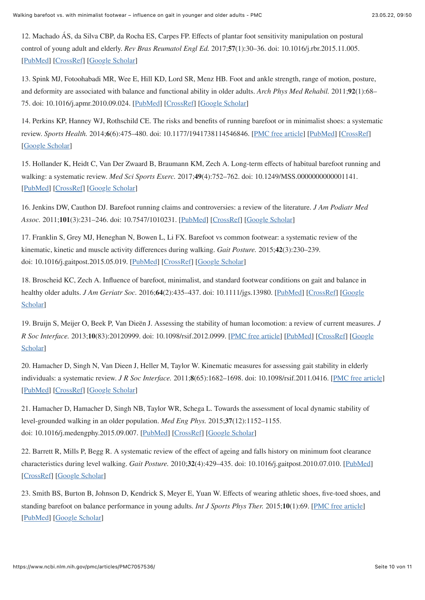<span id="page-9-0"></span>12. Machado ÁS, da Silva CBP, da Rocha ES, Carpes FP. Effects of plantar foot sensitivity manipulation on postural control of young adult and elderly. *Rev Bras Reumatol Engl Ed.* 2017;**57**(1):30–36. doi: 10.1016/j.rbr.2015.11.005. [\[PubMed](https://pubmed.ncbi.nlm.nih.gov/28137400)] [[CrossRef\]](https://doi.org/10.1016%2Fj.rbr.2015.11.005) [\[Google Scholar](https://scholar.google.com/scholar_lookup?journal=Rev+Bras+Reumatol+Engl+Ed&title=Effects+of+plantar+foot+sensitivity+manipulation+on+postural+control+of+young+adult+and+elderly&author=%C3%81S+Machado&author=CBP+da+Silva&author=ES+da+Rocha&author=FP+Carpes&volume=57&issue=1&publication_year=2017&pages=30-36&pmid=28137400&doi=10.1016/j.rbr.2015.11.005&)]

<span id="page-9-1"></span>13. Spink MJ, Fotoohabadi MR, Wee E, Hill KD, Lord SR, Menz HB. Foot and ankle strength, range of motion, posture, and deformity are associated with balance and functional ability in older adults. *Arch Phys Med Rehabil.* 2011;**92**(1):68– 75. doi: 10.1016/j.apmr.2010.09.024. [\[PubMed\]](https://pubmed.ncbi.nlm.nih.gov/21187207) [\[CrossRef](https://doi.org/10.1016%2Fj.apmr.2010.09.024)] [[Google Scholar\]](https://scholar.google.com/scholar_lookup?journal=Arch+Phys+Med+Rehabil&title=Foot+and+ankle+strength,+range+of+motion,+posture,+and+deformity+are+associated+with+balance+and+functional+ability+in+older+adults&author=MJ+Spink&author=MR+Fotoohabadi&author=E+Wee&author=KD+Hill&author=SR+Lord&volume=92&issue=1&publication_year=2011&pages=68-75&pmid=21187207&doi=10.1016/j.apmr.2010.09.024&)

<span id="page-9-2"></span>14. Perkins KP, Hanney WJ, Rothschild CE. The risks and benefits of running barefoot or in minimalist shoes: a systematic review. *Sports Health.* 2014;**6**(6):475–480. doi: 10.1177/1941738114546846. [[PMC free article\]](https://www.ncbi.nlm.nih.gov/pmc/articles/PMC4212355/) [[PubMed\]](https://pubmed.ncbi.nlm.nih.gov/25364479) [\[CrossRef](https://doi.org/10.1177%2F1941738114546846)] [\[Google Scholar\]](https://scholar.google.com/scholar_lookup?journal=Sports+Health&title=The+risks+and+benefits+of+running+barefoot+or+in+minimalist+shoes:+a+systematic+review&author=KP+Perkins&author=WJ+Hanney&author=CE+Rothschild&volume=6&issue=6&publication_year=2014&pages=475-480&pmid=25364479&doi=10.1177/1941738114546846&)

<span id="page-9-11"></span>15. Hollander K, Heidt C, Van Der Zwaard B, Braumann KM, Zech A. Long-term effects of habitual barefoot running and walking: a systematic review. *Med Sci Sports Exerc.* 2017;**49**(4):752–762. doi: 10.1249/MSS.0000000000001141. [\[PubMed](https://pubmed.ncbi.nlm.nih.gov/27801744)] [[CrossRef\]](https://doi.org/10.1249%2FMSS.0000000000001141) [\[Google Scholar](https://scholar.google.com/scholar_lookup?journal=Med+Sci+Sports+Exerc&title=Long-term+effects+of+habitual+barefoot+running+and+walking:+a+systematic+review&author=K+Hollander&author=C+Heidt&author=B+Van+Der+Zwaard&author=KM+Braumann&author=A+Zech&volume=49&issue=4&publication_year=2017&pages=752-762&pmid=27801744&doi=10.1249/MSS.0000000000001141&)]

<span id="page-9-3"></span>16. Jenkins DW, Cauthon DJ. Barefoot running claims and controversies: a review of the literature. *J Am Podiatr Med Assoc.* 2011;**101**(3):231–246. doi: 10.7547/1010231. [[PubMed\]](https://pubmed.ncbi.nlm.nih.gov/21622635) [\[CrossRef](https://doi.org/10.7547%2F1010231)] [[Google Scholar\]](https://scholar.google.com/scholar_lookup?journal=J+Am+Podiatr+Med+Assoc&title=Barefoot+running+claims+and+controversies:+a+review+of+the+literature&author=DW+Jenkins&author=DJ+Cauthon&volume=101&issue=3&publication_year=2011&pages=231-246&pmid=21622635&doi=10.7547/1010231&)

<span id="page-9-4"></span>17. Franklin S, Grey MJ, Heneghan N, Bowen L, Li FX. Barefoot vs common footwear: a systematic review of the kinematic, kinetic and muscle activity differences during walking. *Gait Posture.* 2015;**42**(3):230–239. doi: 10.1016/j.gaitpost.2015.05.019. [\[PubMed](https://pubmed.ncbi.nlm.nih.gov/26220400)] [[CrossRef\]](https://doi.org/10.1016%2Fj.gaitpost.2015.05.019) [\[Google Scholar](https://scholar.google.com/scholar_lookup?journal=Gait+Posture&title=Barefoot+vs+common+footwear:+a+systematic+review+of+the+kinematic,+kinetic+and+muscle+activity+differences+during+walking&author=S+Franklin&author=MJ+Grey&author=N+Heneghan&author=L+Bowen&author=FX+Li&volume=42&issue=3&publication_year=2015&pages=230-239&pmid=26220400&doi=10.1016/j.gaitpost.2015.05.019&)]

<span id="page-9-5"></span>18. Broscheid KC, Zech A. Influence of barefoot, minimalist, and standard footwear conditions on gait and balance in healthy older adults. *J Am Geriatr Soc.* 2016;**64**[\(2\):435–437. doi: 10.1111/jgs.13980. \[](https://scholar.google.com/scholar_lookup?journal=J+Am+Geriatr+Soc&title=Influence+of+barefoot,+minimalist,+and+standard+footwear+conditions+on+gait+and+balance+in+healthy+older+adults&author=KC+Broscheid&author=A+Zech&volume=64&issue=2&publication_year=2016&pages=435-437&pmid=26889847&doi=10.1111/jgs.13980&)[PubMed](https://pubmed.ncbi.nlm.nih.gov/26889847)[\] \[](https://scholar.google.com/scholar_lookup?journal=J+Am+Geriatr+Soc&title=Influence+of+barefoot,+minimalist,+and+standard+footwear+conditions+on+gait+and+balance+in+healthy+older+adults&author=KC+Broscheid&author=A+Zech&volume=64&issue=2&publication_year=2016&pages=435-437&pmid=26889847&doi=10.1111/jgs.13980&)[CrossRe](https://doi.org/10.1111%2Fjgs.13980)[f\] \[Google](https://scholar.google.com/scholar_lookup?journal=J+Am+Geriatr+Soc&title=Influence+of+barefoot,+minimalist,+and+standard+footwear+conditions+on+gait+and+balance+in+healthy+older+adults&author=KC+Broscheid&author=A+Zech&volume=64&issue=2&publication_year=2016&pages=435-437&pmid=26889847&doi=10.1111/jgs.13980&) Scholar]

<span id="page-9-6"></span>19. Bruijn S, Meijer O, Beek P, Van Dieën J. Assessing the stability of human locomotion: a review of current measures. *J R Soc Interface.* 2013;**10**(83):20120999. doi: 10.1098/rsif.2012.0999. [\[](https://scholar.google.com/scholar_lookup?journal=J+R+Soc+Interface&title=Assessing+the+stability+of+human+locomotion:+a+review+of+current+measures&author=S+Bruijn&author=O+Meijer&author=P+Beek&author=J+Van+Die%C3%ABn&volume=10&issue=83&publication_year=2013&pages=20120999&pmid=23516062&doi=10.1098/rsif.2012.0999&)[PMC free articl](https://www.ncbi.nlm.nih.gov/pmc/articles/PMC3645408/)[e\] \[P](https://scholar.google.com/scholar_lookup?journal=J+R+Soc+Interface&title=Assessing+the+stability+of+human+locomotion:+a+review+of+current+measures&author=S+Bruijn&author=O+Meijer&author=P+Beek&author=J+Van+Die%C3%ABn&volume=10&issue=83&publication_year=2013&pages=20120999&pmid=23516062&doi=10.1098/rsif.2012.0999&)[ubMe](https://pubmed.ncbi.nlm.nih.gov/23516062)[d\] \[C](https://scholar.google.com/scholar_lookup?journal=J+R+Soc+Interface&title=Assessing+the+stability+of+human+locomotion:+a+review+of+current+measures&author=S+Bruijn&author=O+Meijer&author=P+Beek&author=J+Van+Die%C3%ABn&volume=10&issue=83&publication_year=2013&pages=20120999&pmid=23516062&doi=10.1098/rsif.2012.0999&)[rossRef](https://doi.org/10.1098%2Frsif.2012.0999)[\] \[Google](https://scholar.google.com/scholar_lookup?journal=J+R+Soc+Interface&title=Assessing+the+stability+of+human+locomotion:+a+review+of+current+measures&author=S+Bruijn&author=O+Meijer&author=P+Beek&author=J+Van+Die%C3%ABn&volume=10&issue=83&publication_year=2013&pages=20120999&pmid=23516062&doi=10.1098/rsif.2012.0999&) Scholar]

<span id="page-9-7"></span>20. Hamacher D, Singh N, Van Dieen J, Heller M, Taylor W. Kinematic measures for assessing gait stability in elderly individuals: a systematic review. *J R Soc Interface.* 2011;**8**(65):1682–1698. doi: 10.1098/rsif.2011.0416. [[PMC free article\]](https://www.ncbi.nlm.nih.gov/pmc/articles/PMC3203491/) [\[PubMed](https://pubmed.ncbi.nlm.nih.gov/21880615)] [[CrossRef\]](https://doi.org/10.1098%2Frsif.2011.0416) [\[Google Scholar](https://scholar.google.com/scholar_lookup?journal=J+R+Soc+Interface&title=Kinematic+measures+for+assessing+gait+stability+in+elderly+individuals:+a+systematic+review&author=D+Hamacher&author=N+Singh&author=J+Van+Dieen&author=M+Heller&author=W+Taylor&volume=8&issue=65&publication_year=2011&pages=1682-1698&pmid=21880615&doi=10.1098/rsif.2011.0416&)]

<span id="page-9-8"></span>21. Hamacher D, Hamacher D, Singh NB, Taylor WR, Schega L. Towards the assessment of local dynamic stability of level-grounded walking in an older population. *Med Eng Phys.* 2015;**37**(12):1152–1155. doi: 10.1016/j.medengphy.2015.09.007. [\[PubMed\]](https://pubmed.ncbi.nlm.nih.gov/26483079) [\[CrossRef](https://doi.org/10.1016%2Fj.medengphy.2015.09.007)] [[Google Scholar\]](https://scholar.google.com/scholar_lookup?journal=Med+Eng+Phys&title=Towards+the+assessment+of+local+dynamic+stability+of+level-grounded+walking+in+an+older+population&author=D+Hamacher&author=D+Hamacher&author=NB+Singh&author=WR+Taylor&author=L+Schega&volume=37&issue=12&publication_year=2015&pages=1152-1155&pmid=26483079&doi=10.1016/j.medengphy.2015.09.007&)

<span id="page-9-9"></span>22. Barrett R, Mills P, Begg R. A systematic review of the effect of ageing and falls history on minimum foot clearance characteristics during level walking. *Gait Posture.* 2010;**32**(4):429–435. doi: 10.1016/j.gaitpost.2010.07.010. [\[PubMed](https://pubmed.ncbi.nlm.nih.gov/20692163)] [\[CrossRef](https://doi.org/10.1016%2Fj.gaitpost.2010.07.010)] [[Google Scholar](https://scholar.google.com/scholar_lookup?journal=Gait+Posture&title=A+systematic+review+of+the+effect+of+ageing+and+falls+history+on+minimum+foot+clearance+characteristics+during+level+walking&author=R+Barrett&author=P+Mills&author=R+Begg&volume=32&issue=4&publication_year=2010&pages=429-435&pmid=20692163&doi=10.1016/j.gaitpost.2010.07.010&)]

<span id="page-9-10"></span>23. Smith BS, Burton B, Johnson D, Kendrick S, Meyer E, Yuan W. Effects of wearing athletic shoes, five-toed shoes, and standing barefoot on balance performance in young adults. *Int J Sports Phys Ther.* 2015;**10**(1):69. [[PMC free article](https://www.ncbi.nlm.nih.gov/pmc/articles/PMC4325290/)] [\[PubMed](https://pubmed.ncbi.nlm.nih.gov/25709865)] [[Google Scholar\]](https://scholar.google.com/scholar_lookup?journal=Int+J+Sports+Phys+Ther&title=Effects+of+wearing+athletic+shoes,+five-toed+shoes,+and+standing+barefoot+on+balance+performance+in+young+adults&author=BS+Smith&author=B+Burton&author=D+Johnson&author=S+Kendrick&author=E+Meyer&volume=10&issue=1&publication_year=2015&pages=69&pmid=25709865&)